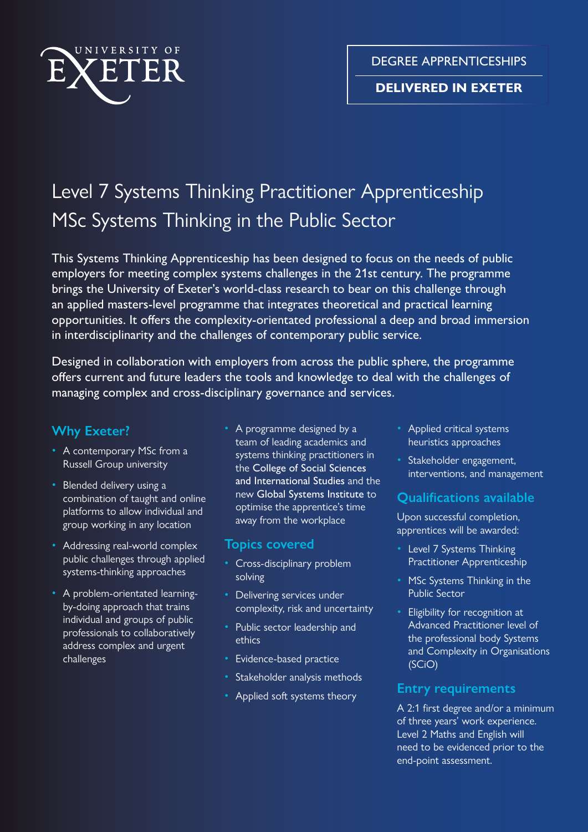

DEGREE APPRENTICESHIPS

### **DELIVERED IN EXETER**

# Level 7 Systems Thinking Practitioner Apprenticeship MSc Systems Thinking in the Public Sector

This Systems Thinking Apprenticeship has been designed to focus on the needs of public employers for meeting complex systems challenges in the 21st century. The programme brings the University of Exeter's world-class research to bear on this challenge through an applied masters-level programme that integrates theoretical and practical learning opportunities. It offers the complexity-orientated professional a deep and broad immersion in interdisciplinarity and the challenges of contemporary public service.

Designed in collaboration with employers from across the public sphere, the programme offers current and future leaders the tools and knowledge to deal with the challenges of managing complex and cross-disciplinary governance and services.

# **Why Exeter?**

- A contemporary MSc from a Russell Group university
- Blended delivery using a combination of taught and online platforms to allow individual and group working in any location
- Addressing real-world complex public challenges through applied systems-thinking approaches
- A problem-orientated learningby-doing approach that trains individual and groups of public professionals to collaboratively address complex and urgent challenges
- A programme designed by a team of leading academics and systems thinking practitioners in the College of Social Sciences and International Studies and the new Global Systems Institute to optimise the apprentice's time away from the workplace

### **Topics covered**

- Cross-disciplinary problem solving
- Delivering services under complexity, risk and uncertainty
- Public sector leadership and ethics
- Evidence-based practice
- Stakeholder analysis methods
- Applied soft systems theory
- Applied critical systems heuristics approaches
- Stakeholder engagement, interventions, and management

# **Qualifications available**

Upon successful completion, apprentices will be awarded:

- Level 7 Systems Thinking Practitioner Apprenticeship
- MSc Systems Thinking in the Public Sector
- Eligibility for recognition at Advanced Practitioner level of the professional body Systems and Complexity in Organisations (SCiO)

### **Entry requirements**

A 2:1 first degree and/or a minimum of three years' work experience. Level 2 Maths and English will need to be evidenced prior to the end-point assessment.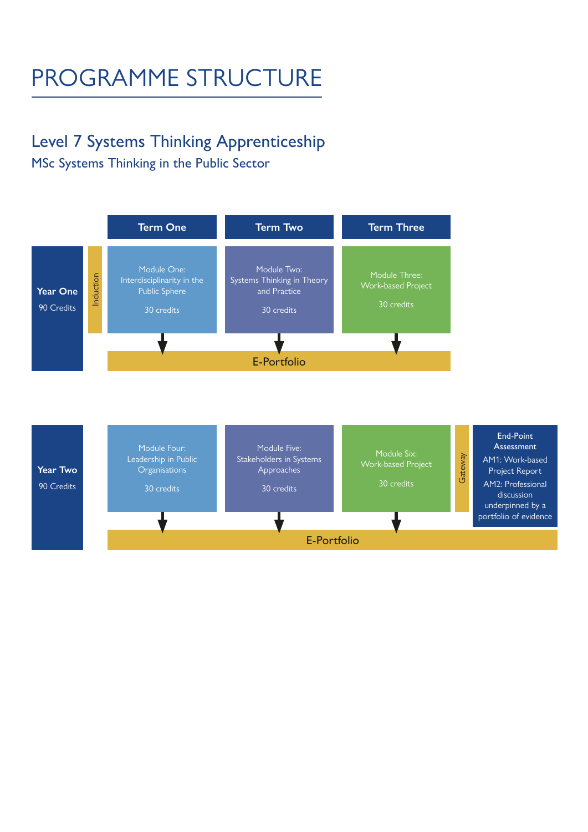# PROGRAMME STRUCTURE

# Level 7 Systems Thinking Apprenticeship

MSc Systems Thinking in the Public Sector